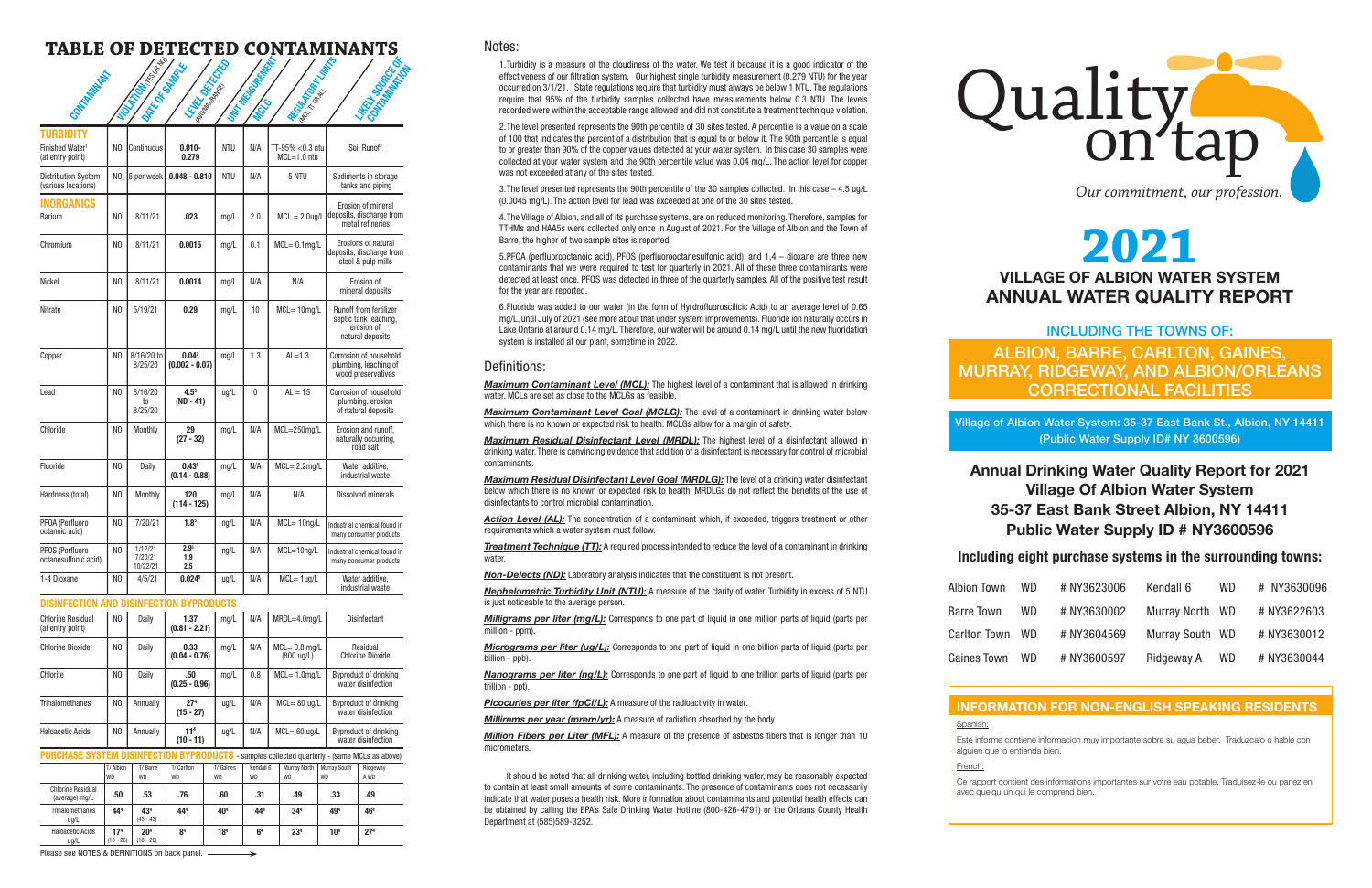(18 - 26) (18 - 20)

# Quality on *Our commitment, our profession.*

# **2021 VILLAGE OF ALBION WATER SYSTEM ANNUAL WATER QUALITY REPORT**

# INCLUDING THE TOWNS OF: ALBION, BARRE, CARLTON, GAINES, MURRAY, RIDGEWAY, AND ALBION/ORLEANS CORRECTIONAL FACILITIES

Village of Albion Water System: 35-37 East Bank St., Albion, NY 14411 (Public Water Supply ID# NY 3600596)

# **INFORMATION FOR NON-ENGLISH SPEAKING RESIDENTS**

Spanish:

Este informe contiene informacion muy importante sobre su agua beber. Traduzcalo o hable con alguien que lo entienda bien.

French:

Ce rapport contient des informations importantes sur votre eau potable. Traduisez-le ou parlez en avec quelqu'un qui le comprend bien.

Notes:

**Action Level (AL):** The concentration of a contaminant which, if exceeded, triggers treatment or other requirements which a water system must follow.

**Treatment Technique (TT):** A required process intended to reduce the level of a contaminant in drinking water

*Non-Delects (ND):* Laboratory analysis indicates that the constituent is not present.

1.Turbidity is a measure of the cloudiness of the water. We test it because it is a good indicator of the effectiveness of our filtration system. Our highest single turbidity measurement (0.279 NTU) for the year occurred on 3/1/21. State regulations require that turbidity must always be below 1 NTU. The regulations require that 95% of the turbidity samples collected have measurements below 0.3 NTU. The levels recorded were within the acceptable range allowed and did not constitute a treatment technique violation.

**Nephelometric Turbidity Unit (NTU):** A measure of the clarity of water. Turbidity in excess of 5 NTU is just noticeable to the average person.

*Micrograms per liter (ug/L):* Corresponds to one part of liquid in one billion parts of liquid (parts per billion - ppb).

*Nanograms per liter (ng/L):* Corresponds to one part of liquid to one trillion parts of liquid (parts per trillion - ppt).

**Picocuries per liter (fpCi/L):** A measure of the radioactivity in water.

**Millirems per year (mrem/yr):** A measure of radiation absorbed by the body.

*Million Fibers per Liter (MFL):* A measure of the presence of asbestos fibers that is longer than 10 micrometers.

2.The level presented represents the 90th percentile of 30 sites tested. A percentile is a value on a scale of 100 that indicates the percent of a distribution that is equal to or below it. The 90th percentile is equal to or greater than 90% of the copper values detected at your water system. In this case 30 samples were collected at your water system and the 90th percentile value was 0.04 mg/L. The action level for copper was not exceeded at any of the sites tested.

3.The level presented represents the 90th percentile of the 30 samples collected. In this case – 4.5 ug/L (0.0045 mg/L). The action level for lead was exceeded at one of the 30 sites tested.

4.The Village of Albion, and all of its purchase systems, are on reduced monitoring. Therefore, samples for TTHMs and HAA5s were collected only once in August of 2021. For the Village of Albion and the Town of Barre, the higher of two sample sites is reported.

| PURCHASE SYSTEM DISINFECTIO<br>- samples collected quarterly - (same MCLs as above) |                        |                      |                  |                        |                        |                                  |                           |                  |  |
|-------------------------------------------------------------------------------------|------------------------|----------------------|------------------|------------------------|------------------------|----------------------------------|---------------------------|------------------|--|
|                                                                                     | T/ Albion<br><b>WD</b> | T/Barre<br><b>WD</b> | T/ Carlton<br>WD | T/ Gaines<br><b>WD</b> | Kendall 6<br><b>WD</b> | <b>Murrav North</b><br><b>WD</b> | Murray South<br><b>WD</b> | Ridgeway<br>A WD |  |
| <b>Chlorine Residual</b><br>(average) mg/L                                          | .50                    | .53                  | .76              | .60                    | .31                    | .49                              | .33                       | .49              |  |
| <b>Trihalomethanes</b><br>ug/L                                                      | 444                    | 434<br>$(43 - 43)$   | 444              | 40 <sup>4</sup>        | 444                    | 34 <sup>4</sup>                  | 494                       | 464              |  |
| <b>Haloacetic Acids</b>                                                             | 17 <sup>4</sup>        | 20 <sup>4</sup>      | 8 <sup>4</sup>   | 18 <sup>4</sup>        | 6 <sup>4</sup>         | 23 <sup>4</sup>                  | 104                       | 27 <sup>4</sup>  |  |

5.PFOA (perfluorooctanoic acid), PFOS (perfluorooctanesulfonic acid), and 1,4 – dioxane are three new contaminants that we were required to test for quarterly in 2021. All of these three contaminants were detected at least once. PFOS was detected in three of the quarterly samples. All of the positive test result for the year are reported.

| Contrations of                                               |                | <b>FOOTBOOK</b><br><b>Azico</b> somatic | <b>LORD DEFENSE</b><br>Line Baylon    |               | <b>Little Moderation Report</b> | Atomy River Manufacture                  | <b>LIFET ISLANDS</b>                                                                     |  |
|--------------------------------------------------------------|----------------|-----------------------------------------|---------------------------------------|---------------|---------------------------------|------------------------------------------|------------------------------------------------------------------------------------------|--|
| TURBIDITY<br>Finished Water <sup>1</sup><br>(at entry point) | N <sub>0</sub> | Continuous                              | $0.010 -$<br>0.279                    | <b>NTU</b>    | N/A                             | TT-95% < 0.3 ntu<br>$MCL = 1.0$ ntu      | Soil Runoff                                                                              |  |
| Distribution System<br>(various locations)                   | N <sub>0</sub> | 5 per week                              | $0.048 - 0.810$                       | <b>NTU</b>    | N/A                             | 5 NTU                                    | Sediments in storage<br>tanks and piping                                                 |  |
| <b>INORGANICS</b><br>Barium                                  | N <sub>0</sub> | 8/11/21                                 | .023                                  | mg/L          | 2.0                             | $MCL = 2.0$ ug/L                         | Erosion of mineral<br>deposits, discharge from<br>metal refineries                       |  |
| Chromium                                                     | NO.            | 8/11/21                                 | 0.0015                                | mg/L          | 0.1                             | $MCL = 0.1mg/L$                          | Erosions of natural<br>deposits, discharge from<br>steel & pulp mills                    |  |
| Nickel                                                       | NO             | 8/11/21                                 | 0.0014                                | mg/L          | N/A                             | N/A                                      | Erosion of<br>mineral deposits                                                           |  |
| Nitrate                                                      | NO             | 5/19/21                                 | 0.29                                  | mg/L          | 10                              | $MCL = 10$ mg/L                          | <b>Runoff from fertilizer</b><br>septic tank leaching,<br>erosion of<br>natural deposits |  |
| Copper                                                       | NO             | 8/16/20 to<br>8/25/20                   | 0.04 <sup>2</sup><br>$(0.002 - 0.07)$ | mq/L          | 1.3                             | $AL=1.3$                                 | Corrosion of household<br>plumbing, leaching of<br>wood preservatives                    |  |
| Lead                                                         | NO             | 8/16/20<br>to<br>8/25/20                | $4.5^3$<br>(ND - 41)                  | ug/L          | 0                               | $AL = 15$                                | Corrosion of household<br>plumbing, erosion<br>of natural deposits                       |  |
| Chloride                                                     | NO             | Monthly                                 | 29<br>$(27 - 32)$                     | mg/L          | N/A                             | $MCL = 250$ mg/L                         | Erosion and runoff,<br>naturally occurring,<br>road salt                                 |  |
| Fluoride                                                     | NO             | Daily                                   | $0.43^6$<br>$(0.14 - 0.88)$           | mg/L          | N/A                             | $MCL = 2.2mg/L$                          | Water additive,<br>industrial waste                                                      |  |
| Hardness (total)                                             | N <sub>0</sub> | Monthly                                 | 120<br>(114 - 125)                    | mg/L          | N/A                             | N/A                                      | Dissolved minerals                                                                       |  |
| PFOA (Perfluoro<br>octanoic acid)                            | N <sub>0</sub> | 7/20/21                                 | 1.8 <sup>5</sup>                      | $\text{ng/L}$ | N/A                             | $MCL = 10$ ng/L                          | Industrial chemical found in<br>many consumer products                                   |  |
| PFOS (Perfluoro<br>octanesulfonic acid)                      | N <sub>0</sub> | 1/12/21<br>7/20/21<br>10/22/21          | 2.9 <sup>5</sup><br>1.9<br>2.5        | $\text{ng/L}$ | N/A                             | MCL=10ng/L                               | Industrial chemical found in<br>many consumer products                                   |  |
| 1-4 Dioxane                                                  | NO             | 4/5/21                                  | 0.024 <sup>5</sup>                    | ug/L          | N/A                             | $MCL = 1 ug/L$                           | Water additive,<br>industrial waste                                                      |  |
| <b>DISINFECTION AND DISINFECTION BYPRODUCTS</b>              |                |                                         |                                       |               |                                 |                                          |                                                                                          |  |
| <b>Chlorine Residual</b><br>(at entry point)                 | N <sub>0</sub> | Daily                                   | 1.37<br>$(0.81 - 2.21)$               | mg/L          | N/A                             | MRDL=4.0mg/L                             | Disinfectant                                                                             |  |
| <b>Chlorine Dioxide</b>                                      | N <sub>0</sub> | Daily                                   | 0.33<br>$(0.04 - 0.76)$               | mg/L          | N/A                             | $MCL = 0.8$ mg/L<br>$(800 \text{ u}g/L)$ | Residual<br><b>Chlorine Dioxide</b>                                                      |  |
| Chlorite                                                     | NO             | Daily                                   | .50<br>$(0.25 - 0.96)$                | mg/L          | 0.8                             | $MCL = 1.0$ mg/L                         | Byproduct of drinking<br>water disinfection                                              |  |
| Trihalomethanes                                              | N <sub>0</sub> | Annually                                | 27 <sup>4</sup><br>$(15 - 27)$        | ug/L          | N/A                             | $MCL = 80$ ug/L                          | Byproduct of drinking<br>water disinfection                                              |  |
| <b>Haloacetic Acids</b>                                      | NO.            | Annually                                | 11 <sup>4</sup><br>$(10 - 11)$        | ug/L          | N/A                             | $MCL = 60$ ug/L                          | Byproduct of drinking<br>water disinfection                                              |  |

6.Fluoride was added to our water (in the form of Hyrdrofluoroscilicic Acid) to an average level of 0.65 mg/L, until July of 2021 (see more about that under system improvements). Fluoride ion naturally occurs in Lake Ontario at around 0.14 mg/L. Therefore, our water will be around 0.14 mg/L until the new fluoridation system is installed at our plant, sometime in 2022.

#### Definitions:

*Maximum Contaminant Level (MCL):* The highest level of a contaminant that is allowed in drinking water. MCLs are set as close to the MCLGs as feasible.

*Maximum Contaminant Level Goal (MCLG):* The level of a contaminant in drinking water below which there is no known or expected risk to health. MCLGs allow for a margin of safety.

*Maximum Residual Disinfectant Level (MRDL):* The highest level of a disinfectant allowed in drinking water. There is convincing evidence that addition of a disinfectant is necessary for control of microbial contaminants.

*Maximum Residual Disinfectant Level Goal (MRDLG):* The level of a drinking water disinfectant below which there is no known or expected risk to health. MRDLGs do not reflect the benefits of the use of disinfectants to control microbial contamination.

*Milligrams per liter (mg/L):* Corresponds to one part of liquid in one million parts of liquid (parts per million - ppm).

It should be noted that all drinking water, including bottled drinking water, may be reasonably expected to contain at least small amounts of some contaminants. The presence of contaminants does not necessarily indicate that water poses a health risk. More information about contaminants and potential health effects can be obtained by calling the EPA's Safe Drinking Water Hotline (800-426-4791) or the Orleans County Health Department at (585)589-3252.



# **TABLE OF DETECTED CONTAMINANTS**

| WD. | # NY3623006 | Kendall 6           | WD.  | # NY3630096 |
|-----|-------------|---------------------|------|-------------|
| WD. | # NY3630002 | <b>Murray North</b> | - WD | # NY3622603 |
| WD. | # NY3604569 | Murray South WD     |      | # NY3630012 |
| WD. | # NY3600597 | Ridgeway A          | WD.  | # NY3630044 |

# **Including eight purchase systems in the surrounding towns:**

Albion Town

Barre Town

Carlton Town

Gaines Town

# **Annual Drinking Water Quality Report for 2021 Village Of Albion Water System 35-37 East Bank Street Albion, NY 14411 Public Water Supply ID # NY3600596**

ug/L